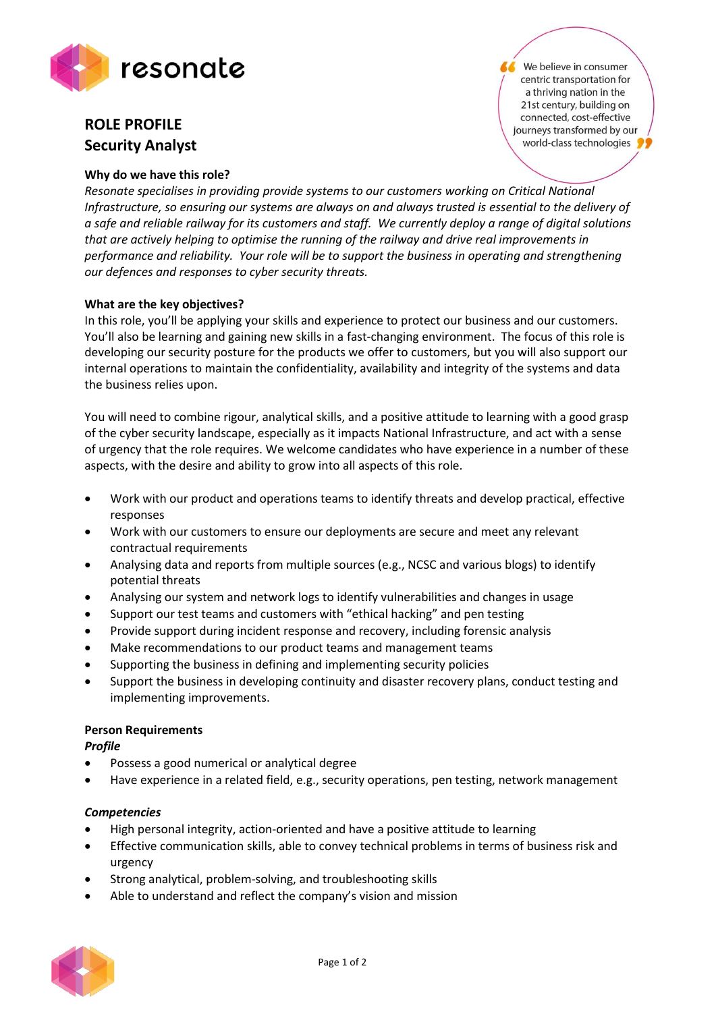

# **ROLE PROFILE Security Analyst**

### **Why do we have this role?**

We believe in consumer centric transportation for a thriving nation in the 21st century, building on connected, cost-effective journeys transformed by our world-class technologies

*Resonate specialises in providing provide systems to our customers working on Critical National Infrastructure, so ensuring our systems are always on and always trusted is essential to the delivery of a safe and reliable railway for its customers and staff. We currently deploy a range of digital solutions that are actively helping to optimise the running of the railway and drive real improvements in performance and reliability. Your role will be to support the business in operating and strengthening our defences and responses to cyber security threats.*

## **What are the key objectives?**

In this role, you'll be applying your skills and experience to protect our business and our customers. You'll also be learning and gaining new skills in a fast-changing environment. The focus of this role is developing our security posture for the products we offer to customers, but you will also support our internal operations to maintain the confidentiality, availability and integrity of the systems and data the business relies upon.

You will need to combine rigour, analytical skills, and a positive attitude to learning with a good grasp of the cyber security landscape, especially as it impacts National Infrastructure, and act with a sense of urgency that the role requires. We welcome candidates who have experience in a number of these aspects, with the desire and ability to grow into all aspects of this role.

- Work with our product and operations teams to identify threats and develop practical, effective responses
- Work with our customers to ensure our deployments are secure and meet any relevant contractual requirements
- Analysing data and reports from multiple sources (e.g., NCSC and various blogs) to identify potential threats
- Analysing our system and network logs to identify vulnerabilities and changes in usage
- Support our test teams and customers with "ethical hacking" and pen testing
- Provide support during incident response and recovery, including forensic analysis
- Make recommendations to our product teams and management teams
- Supporting the business in defining and implementing security policies
- Support the business in developing continuity and disaster recovery plans, conduct testing and implementing improvements.

#### **Person Requirements**

*Profile*

- Possess a good numerical or analytical degree
- Have experience in a related field, e.g., security operations, pen testing, network management

#### *Competencies*

- High personal integrity, action-oriented and have a positive attitude to learning
- Effective communication skills, able to convey technical problems in terms of business risk and urgency
- Strong analytical, problem-solving, and troubleshooting skills
- Able to understand and reflect the company's vision and mission